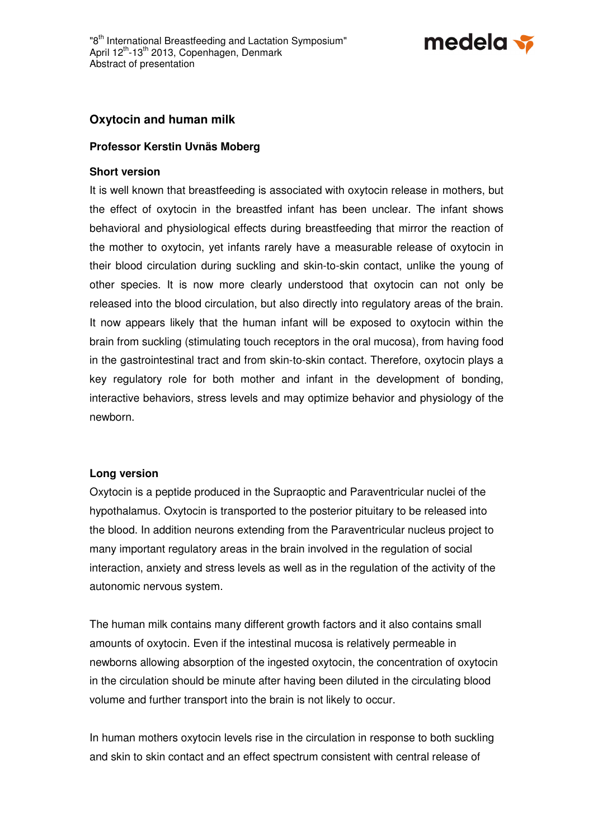

## **Oxytocin and human milk**

## **Professor Kerstin Uvnäs Moberg**

## **Short version**

It is well known that breastfeeding is associated with oxytocin release in mothers, but the effect of oxytocin in the breastfed infant has been unclear. The infant shows behavioral and physiological effects during breastfeeding that mirror the reaction of the mother to oxytocin, yet infants rarely have a measurable release of oxytocin in their blood circulation during suckling and skin-to-skin contact, unlike the young of other species. It is now more clearly understood that oxytocin can not only be released into the blood circulation, but also directly into regulatory areas of the brain. It now appears likely that the human infant will be exposed to oxytocin within the brain from suckling (stimulating touch receptors in the oral mucosa), from having food in the gastrointestinal tract and from skin-to-skin contact. Therefore, oxytocin plays a key regulatory role for both mother and infant in the development of bonding, interactive behaviors, stress levels and may optimize behavior and physiology of the newborn.

## **Long version**

Oxytocin is a peptide produced in the Supraoptic and Paraventricular nuclei of the hypothalamus. Oxytocin is transported to the posterior pituitary to be released into the blood. In addition neurons extending from the Paraventricular nucleus project to many important regulatory areas in the brain involved in the regulation of social interaction, anxiety and stress levels as well as in the regulation of the activity of the autonomic nervous system.

The human milk contains many different growth factors and it also contains small amounts of oxytocin. Even if the intestinal mucosa is relatively permeable in newborns allowing absorption of the ingested oxytocin, the concentration of oxytocin in the circulation should be minute after having been diluted in the circulating blood volume and further transport into the brain is not likely to occur.

In human mothers oxytocin levels rise in the circulation in response to both suckling and skin to skin contact and an effect spectrum consistent with central release of